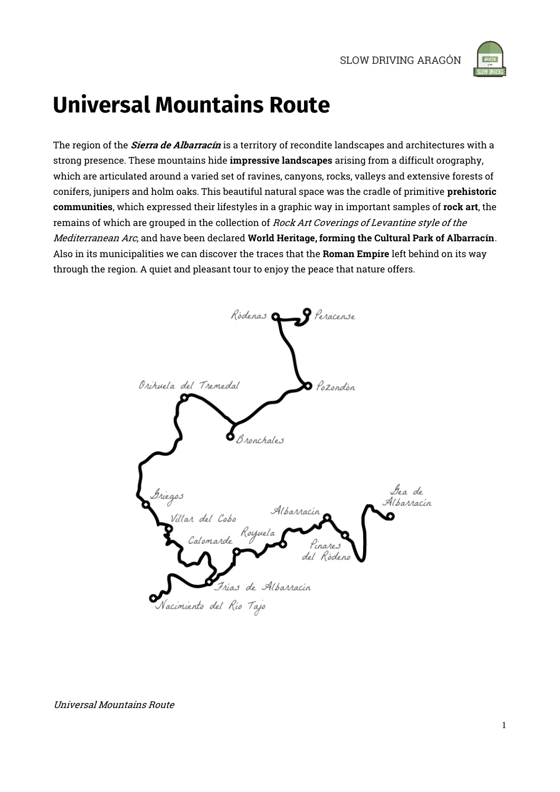

# **Universal Mountains Route**

The region of the *Sierra de Albarracín* is a territory of recondite landscapes and architectures with a strong presence. These mountains hide impressive landscapes arising from a difficult orography, which are articulated around a varied set of ravines, canyons, rocks, valleys and extensive forests of conifers, junipers and holm oaks. This beautiful natural space was the cradle of primitive prehistoric communities, which expressed their lifestyles in a graphic way in important samples of rock art, the remains of which are grouped in the collection of Rock Art Coverings of Levantine style of the Mediterranean Arc, and have been declared World Heritage, forming the Cultural Park of Albarracín. Also in its municipalities we can discover the traces that the Roman Empire left behind on its way through the region. A quiet and pleasant tour to enjoy the peace that nature offers.

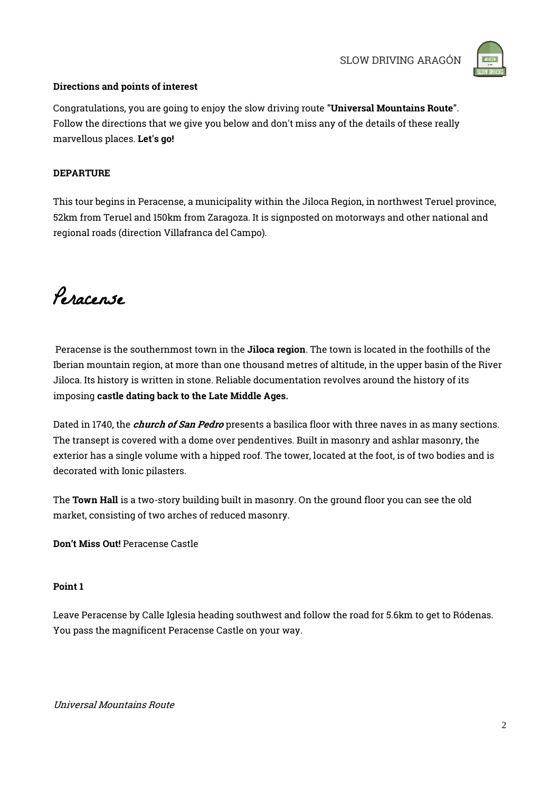

### Directions and points of interest

Congratulations, you are going to enjoy the slow driving route "Universal Mountains Route". Follow the directions that we give you below and don't miss any of the details of these really marvellous places. Let's go!

### **DEPARTURE**

This tour begins in Peracense, a municipality within the Jiloca Region, in northwest Teruel province, 52km from Teruel and 150km from Zaragoza. It is signposted on motorways and other national and regional roads (direction Villafranca del Campo).

Peracense

Peracense is the southernmost town in the Jiloca region. The town is located in the foothills of the Iberian mountain region, at more than one thousand metres of altitude, in the upper basin of the River Jiloca. Its history is written in stone. Reliable documentation revolves around the history of its imposing castle dating back to the Late Middle Ages.

Dated in 1740, the *church of San Pedro* presents a basilica floor with three naves in as many sections. The transept is covered with a dome over pendentives. Built in masonry and ashlar masonry, the exterior has a single volume with a hipped roof. The tower, located at the foot, is of two bodies and is decorated with Ionic pilasters.

The Town Hall is a two-story building built in masonry. On the ground floor you can see the old market, consisting of two arches of reduced masonry.

Don't Miss Out! Peracense Castle

### Point 1

Leave Peracense by Calle Iglesia heading southwest and follow the road for 5.6km to get to Ródenas. You pass the magnificent Peracense Castle on your way.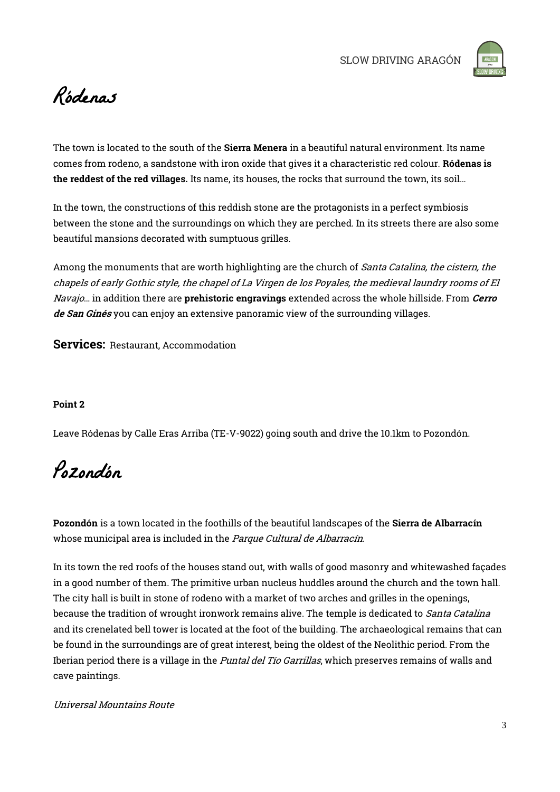

## Ródenas

The town is located to the south of the Sierra Menera in a beautiful natural environment. Its name comes from rodeno, a sandstone with iron oxide that gives it a characteristic red colour. Ródenas is the reddest of the red villages. Its name, its houses, the rocks that surround the town, its soil…

In the town, the constructions of this reddish stone are the protagonists in a perfect symbiosis between the stone and the surroundings on which they are perched. In its streets there are also some beautiful mansions decorated with sumptuous grilles.

Among the monuments that are worth highlighting are the church of Santa Catalina, the cistern, the chapels of early Gothic style, the chapel of La Virgen de los Poyales, the medieval laundry rooms of El Navajo... in addition there are **prehistoric engravings** extended across the whole hillside. From *Cerro* de San Ginés you can enjoy an extensive panoramic view of the surrounding villages.

Services: Restaurant, Accommodation

### Point 2

Leave Ródenas by Calle Eras Arriba (TE-V-9022) going south and drive the 10.1km to Pozondón.

Pozondón

Pozondón is a town located in the foothills of the beautiful landscapes of the Sierra de Albarracín whose municipal area is included in the Parque Cultural de Albarracín.

In its town the red roofs of the houses stand out, with walls of good masonry and whitewashed façades in a good number of them. The primitive urban nucleus huddles around the church and the town hall. The city hall is built in stone of rodeno with a market of two arches and grilles in the openings, because the tradition of wrought ironwork remains alive. The temple is dedicated to *Santa Catalina* and its crenelated bell tower is located at the foot of the building. The archaeological remains that can be found in the surroundings are of great interest, being the oldest of the Neolithic period. From the Iberian period there is a village in the *Puntal del Tío Garrillas*, which preserves remains of walls and cave paintings.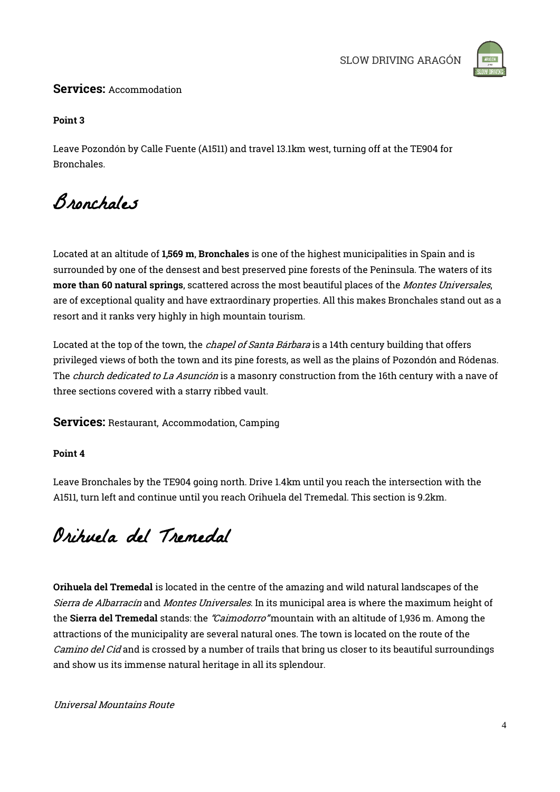

### Services: Accommodation

### Point 3

Leave Pozondón by Calle Fuente (A1511) and travel 13.1km west, turning off at the TE904 for Bronchales.

## Bronchales

Located at an altitude of 1,569 m, Bronchales is one of the highest municipalities in Spain and is surrounded by one of the densest and best preserved pine forests of the Peninsula. The waters of its more than 60 natural springs, scattered across the most beautiful places of the Montes Universales, are of exceptional quality and have extraordinary properties. All this makes Bronchales stand out as a resort and it ranks very highly in high mountain tourism.

Located at the top of the town, the *chapel of Santa Bárbara* is a 14th century building that offers privileged views of both the town and its pine forests, as well as the plains of Pozondón and Ródenas. The *church dedicated to La Asunción* is a masonry construction from the 16th century with a nave of three sections covered with a starry ribbed vault.

Services: Restaurant, Accommodation, Camping

### Point 4

Leave Bronchales by the TE904 going north. Drive 1.4km until you reach the intersection with the A1511, turn left and continue until you reach Orihuela del Tremedal. This section is 9.2km.

## Orihuela del Tremedal

Orihuela del Tremedal is located in the centre of the amazing and wild natural landscapes of the Sierra de Albarracín and Montes Universales. In its municipal area is where the maximum height of the Sierra del Tremedal stands: the "Caimodorro" mountain with an altitude of 1,936 m. Among the attractions of the municipality are several natural ones. The town is located on the route of the Camino del Cid and is crossed by a number of trails that bring us closer to its beautiful surroundings and show us its immense natural heritage in all its splendour.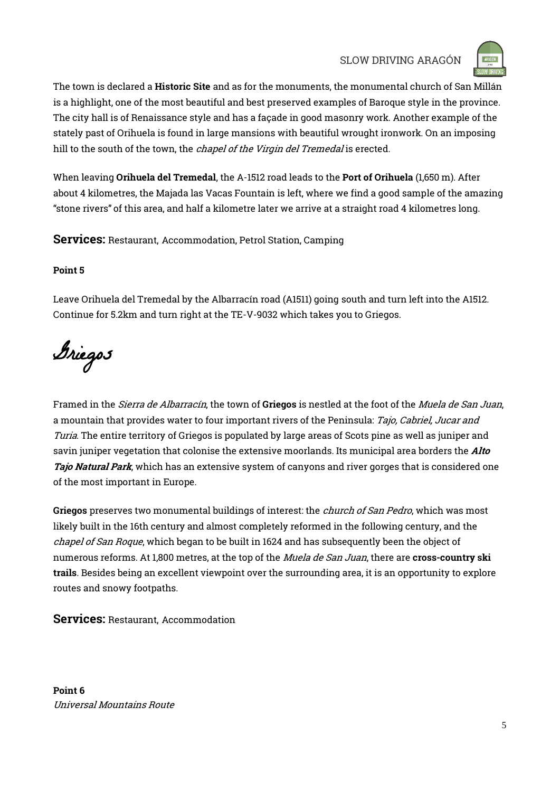SLOW DRIVING ARAGÓN



The town is declared a Historic Site and as for the monuments, the monumental church of San Millán is a highlight, one of the most beautiful and best preserved examples of Baroque style in the province. The city hall is of Renaissance style and has a façade in good masonry work. Another example of the stately past of Orihuela is found in large mansions with beautiful wrought ironwork. On an imposing hill to the south of the town, the *chapel of the Virgin del Tremedal* is erected.

When leaving Orihuela del Tremedal, the A-1512 road leads to the Port of Orihuela (1,650 m). After about 4 kilometres, the Majada las Vacas Fountain is left, where we find a good sample of the amazing "stone rivers" of this area, and half a kilometre later we arrive at a straight road 4 kilometres long.

Services: Restaurant, Accommodation, Petrol Station, Camping

### Point 5

Leave Orihuela del Tremedal by the Albarracín road (A1511) going south and turn left into the A1512. Continue for 5.2km and turn right at the TE-V-9032 which takes you to Griegos.

Griegos

Framed in the *Sierra de Albarracín*, the town of Griegos is nestled at the foot of the *Muela de San Juan*, a mountain that provides water to four important rivers of the Peninsula: Tajo, Cabriel, Jucar and Turia. The entire territory of Griegos is populated by large areas of Scots pine as well as juniper and savin juniper vegetation that colonise the extensive moorlands. Its municipal area borders the *Alto* Tajo Natural Park, which has an extensive system of canyons and river gorges that is considered one of the most important in Europe.

Griegos preserves two monumental buildings of interest: the *church of San Pedro*, which was most likely built in the 16th century and almost completely reformed in the following century, and the chapel of San Roque, which began to be built in 1624 and has subsequently been the object of numerous reforms. At 1,800 metres, at the top of the *Muela de San Juan*, there are cross-country ski trails. Besides being an excellent viewpoint over the surrounding area, it is an opportunity to explore routes and snowy footpaths.

Services: Restaurant, Accommodation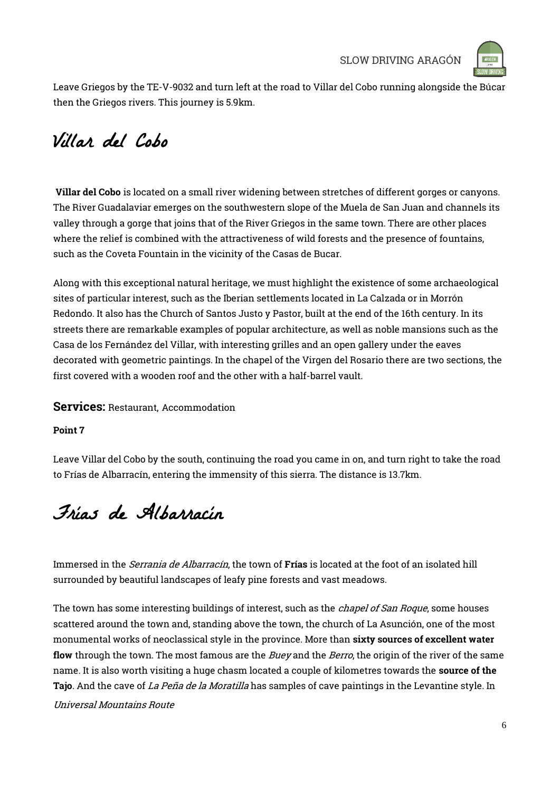

Leave Griegos by the TE-V-9032 and turn left at the road to Villar del Cobo running alongside the Búcar then the Griegos rivers. This journey is 5.9km.

### Villar del Cobo

Villar del Cobo is located on a small river widening between stretches of different gorges or canyons. The River Guadalaviar emerges on the southwestern slope of the Muela de San Juan and channels its valley through a gorge that joins that of the River Griegos in the same town. There are other places where the relief is combined with the attractiveness of wild forests and the presence of fountains, such as the Coveta Fountain in the vicinity of the Casas de Bucar.

Along with this exceptional natural heritage, we must highlight the existence of some archaeological sites of particular interest, such as the Iberian settlements located in La Calzada or in Morrón Redondo. It also has the Church of Santos Justo y Pastor, built at the end of the 16th century. In its streets there are remarkable examples of popular architecture, as well as noble mansions such as the Casa de los Fernández del Villar, with interesting grilles and an open gallery under the eaves decorated with geometric paintings. In the chapel of the Virgen del Rosario there are two sections, the first covered with a wooden roof and the other with a half-barrel vault.

### Services: Restaurant, Accommodation

### Point 7

Leave Villar del Cobo by the south, continuing the road you came in on, and turn right to take the road to Frías de Albarracín, entering the immensity of this sierra. The distance is 13.7km.

## Frías de Albarracín

Immersed in the *Serrania de Albarracín*, the town of **Frías** is located at the foot of an isolated hill surrounded by beautiful landscapes of leafy pine forests and vast meadows.

Universal Mountains Route The town has some interesting buildings of interest, such as the *chapel of San Roque*, some houses scattered around the town and, standing above the town, the church of La Asunción, one of the most monumental works of neoclassical style in the province. More than sixty sources of excellent water flow through the town. The most famous are the *Buey* and the *Berro*, the origin of the river of the same name. It is also worth visiting a huge chasm located a couple of kilometres towards the source of the Tajo. And the cave of *La Peña de la Moratilla* has samples of cave paintings in the Levantine style. In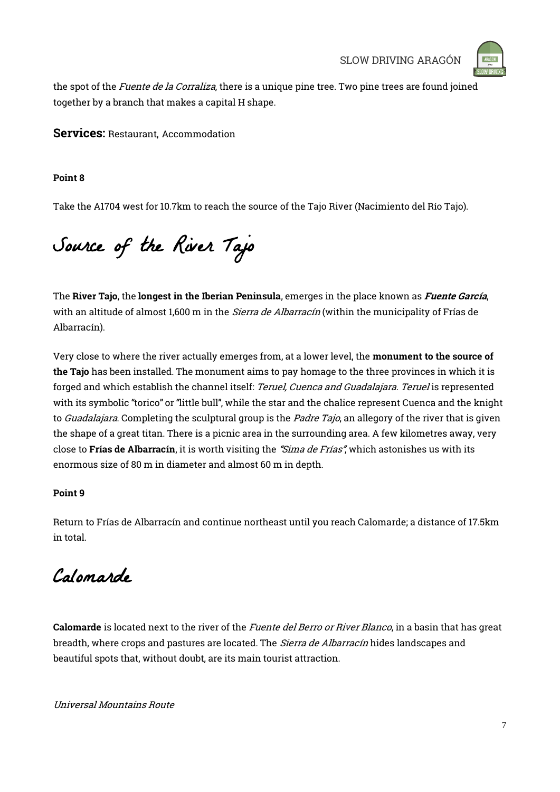

the spot of the Fuente de la Corraliza, there is a unique pine tree. Two pine trees are found joined together by a branch that makes a capital H shape.

Services: Restaurant, Accommodation

### Point 8

Take the A1704 west for 10.7km to reach the source of the Tajo River (Nacimiento del Río Tajo).

Source of the River Tajo

The River Tajo, the longest in the Iberian Peninsula, emerges in the place known as *Fuente García*, with an altitude of almost 1,600 m in the *Sierra de Albarracín* (within the municipality of Frías de Albarracín).

Very close to where the river actually emerges from, at a lower level, the monument to the source of the Tajo has been installed. The monument aims to pay homage to the three provinces in which it is forged and which establish the channel itself: Teruel, Cuenca and Guadalajara. Teruel is represented with its symbolic "torico" or "little bull", while the star and the chalice represent Cuenca and the knight to *Guadalajara*. Completing the sculptural group is the *Padre Tajo*, an allegory of the river that is given the shape of a great titan. There is a picnic area in the surrounding area. A few kilometres away, very close to Frías de Albarracín, it is worth visiting the "Sima de Frías", which astonishes us with its enormous size of 80 m in diameter and almost 60 m in depth.

### Point 9

Return to Frías de Albarracín and continue northeast until you reach Calomarde; a distance of 17.5km in total.

Calomarde

Calomarde is located next to the river of the *Fuente del Berro or River Blanco*, in a basin that has great breadth, where crops and pastures are located. The *Sierra de Albarracín* hides landscapes and beautiful spots that, without doubt, are its main tourist attraction.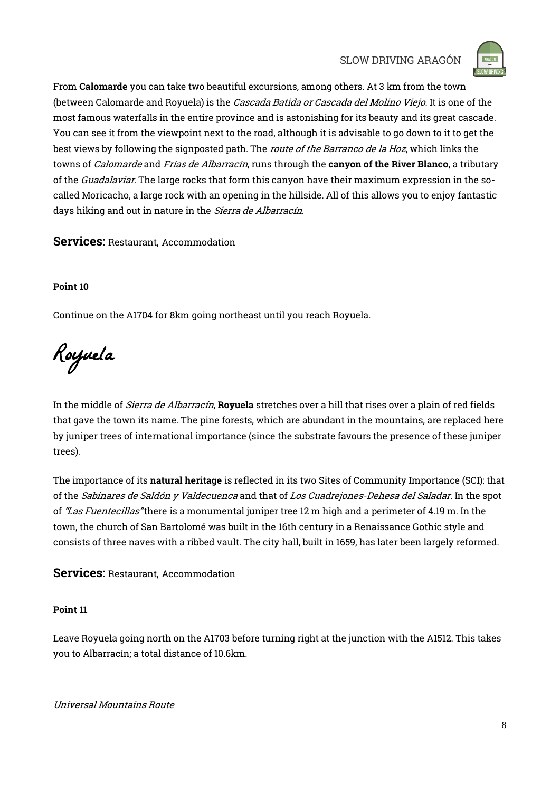

From Calomarde you can take two beautiful excursions, among others. At 3 km from the town (between Calomarde and Royuela) is the Cascada Batida or Cascada del Molino Viejo. It is one of the most famous waterfalls in the entire province and is astonishing for its beauty and its great cascade. You can see it from the viewpoint next to the road, although it is advisable to go down to it to get the best views by following the signposted path. The *route of the Barranco de la Hoz*, which links the towns of *Calomarde* and *Frías de Albarracín*, runs through the canyon of the River Blanco, a tributary of the *Guadalaviar*. The large rocks that form this canyon have their maximum expression in the socalled Moricacho, a large rock with an opening in the hillside. All of this allows you to enjoy fantastic days hiking and out in nature in the Sierra de Albarracín.

### Services: Restaurant, Accommodation

### Point 10

Continue on the A1704 for 8km going northeast until you reach Royuela.

Royuela

In the middle of *Sierra de Albarracín*, Royuela stretches over a hill that rises over a plain of red fields that gave the town its name. The pine forests, which are abundant in the mountains, are replaced here by juniper trees of international importance (since the substrate favours the presence of these juniper trees).

The importance of its natural heritage is reflected in its two Sites of Community Importance (SCI): that of the Sabinares de Saldón y Valdecuenca and that of Los Cuadrejones-Dehesa del Saladar. In the spot of "Las Fuentecillas" there is a monumental juniper tree 12 m high and a perimeter of 4.19 m. In the town, the church of San Bartolomé was built in the 16th century in a Renaissance Gothic style and consists of three naves with a ribbed vault. The city hall, built in 1659, has later been largely reformed.

### Services: Restaurant, Accommodation

### Point 11

Leave Royuela going north on the A1703 before turning right at the junction with the A1512. This takes you to Albarracín; a total distance of 10.6km.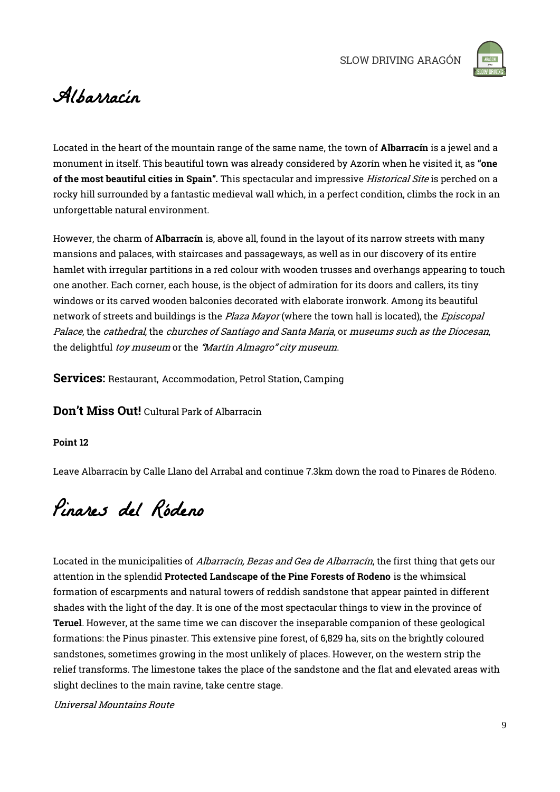

### Albarracín

Located in the heart of the mountain range of the same name, the town of Albarracín is a jewel and a monument in itself. This beautiful town was already considered by Azorín when he visited it, as "one of the most beautiful cities in Spain". This spectacular and impressive Historical Site is perched on a rocky hill surrounded by a fantastic medieval wall which, in a perfect condition, climbs the rock in an unforgettable natural environment.

However, the charm of Albarracín is, above all, found in the layout of its narrow streets with many mansions and palaces, with staircases and passageways, as well as in our discovery of its entire hamlet with irregular partitions in a red colour with wooden trusses and overhangs appearing to touch one another. Each corner, each house, is the object of admiration for its doors and callers, its tiny windows or its carved wooden balconies decorated with elaborate ironwork. Among its beautiful network of streets and buildings is the *Plaza Mayor* (where the town hall is located), the *Episcopal* Palace, the cathedral, the churches of Santiago and Santa Maria, or museums such as the Diocesan, the delightful toy museum or the "Martín Almagro" city museum.

Services: Restaurant, Accommodation, Petrol Station, Camping

Don't Miss Out! Cultural Park of Albarracin

### Point 12

Leave Albarracín by Calle Llano del Arrabal and continue 7.3km down the road to Pinares de Ródeno.

Pinares del Ródeno

Located in the municipalities of Albarracín, Bezas and Gea de Albarracín, the first thing that gets our attention in the splendid Protected Landscape of the Pine Forests of Rodeno is the whimsical formation of escarpments and natural towers of reddish sandstone that appear painted in different shades with the light of the day. It is one of the most spectacular things to view in the province of Teruel. However, at the same time we can discover the inseparable companion of these geological formations: the Pinus pinaster. This extensive pine forest, of 6,829 ha, sits on the brightly coloured sandstones, sometimes growing in the most unlikely of places. However, on the western strip the relief transforms. The limestone takes the place of the sandstone and the flat and elevated areas with slight declines to the main ravine, take centre stage.